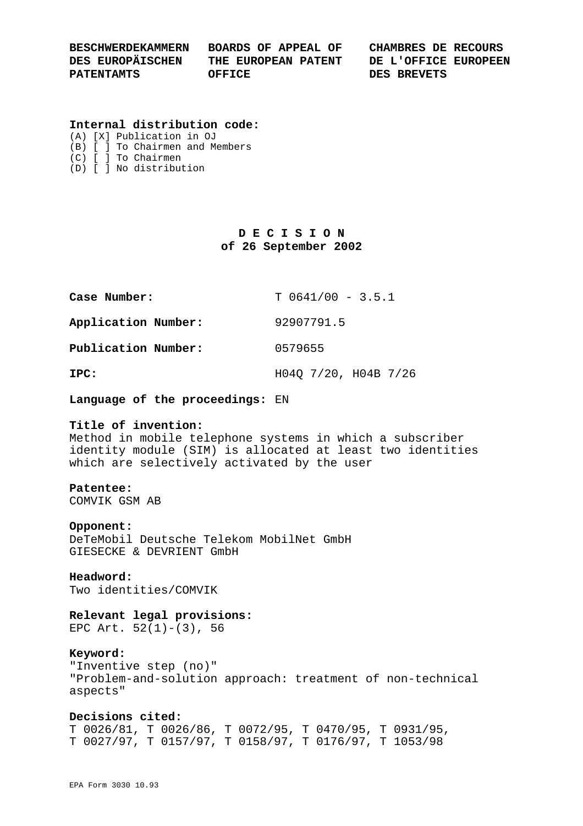| <b>BESCHWERDEKAMMERN</b> | BOARDS OF APPEAL OF | CHAMBRES DE RECOURS  |
|--------------------------|---------------------|----------------------|
| DES EUROPÄISCHEN         | THE EUROPEAN PATENT | DE L'OFFICE EUROPEEN |
| <b>PATENTAMTS</b>        | OFFICE              | DES BREVETS          |

### **Internal distribution code:**

(A) [X] Publication in OJ (B) [ ] To Chairmen and Members (C) [ ] To Chairmen

(D) [ ] No distribution

# **D E C I S I O N of 26 September 2002**

| Case Number:        | $T 0641/00 - 3.5.1$  |
|---------------------|----------------------|
| Application Number: | 92907791.5           |
| Publication Number: | 0579655              |
| IPC:                | H040 7/20, H04B 7/26 |

**Language of the proceedings:** EN

## **Title of invention:**

Method in mobile telephone systems in which a subscriber identity module (SIM) is allocated at least two identities which are selectively activated by the user

## **Patentee:**

COMVIK GSM AB

#### **Opponent:**

DeTeMobil Deutsche Telekom MobilNet GmbH GIESECKE & DEVRIENT GmbH

#### **Headword:**

Two identities/COMVIK

## **Relevant legal provisions:**

EPC Art.  $52(1)-(3)$ , 56

#### **Keyword:**

"Inventive step (no)" "Problem-and-solution approach: treatment of non-technical aspects"

## **Decisions cited:**

T 0026/81, T 0026/86, T 0072/95, T 0470/95, T 0931/95, T 0027/97, T 0157/97, T 0158/97, T 0176/97, T 1053/98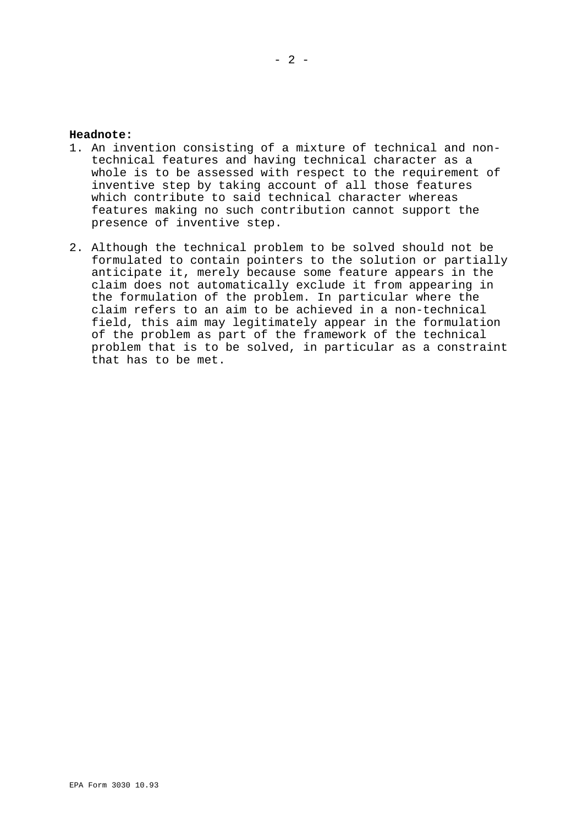#### **Headnote:**

- 1. An invention consisting of a mixture of technical and nontechnical features and having technical character as a whole is to be assessed with respect to the requirement of inventive step by taking account of all those features which contribute to said technical character whereas features making no such contribution cannot support the presence of inventive step.
- 2. Although the technical problem to be solved should not be formulated to contain pointers to the solution or partially anticipate it, merely because some feature appears in the claim does not automatically exclude it from appearing in the formulation of the problem. In particular where the claim refers to an aim to be achieved in a non-technical field, this aim may legitimately appear in the formulation of the problem as part of the framework of the technical problem that is to be solved, in particular as a constraint that has to be met.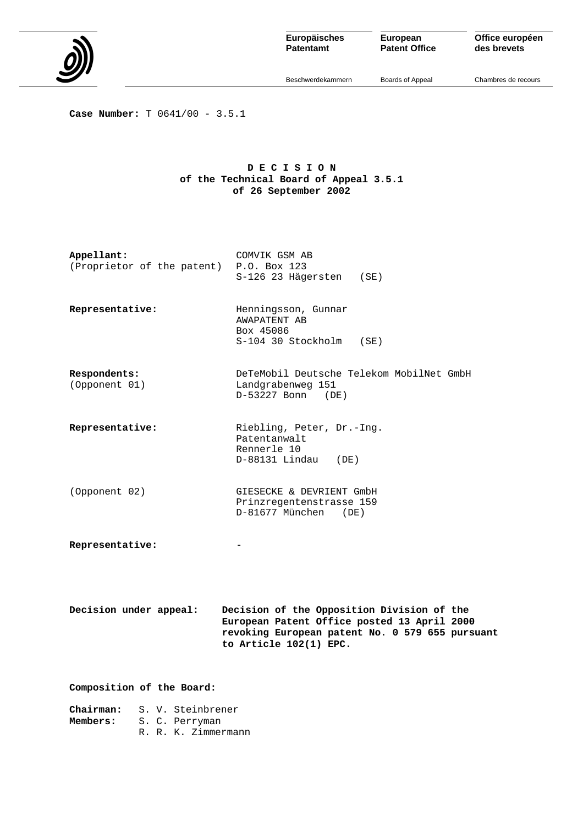

**Patentamt**

**European Patent Office** **Office européen des brevets**

Beschwerdekammern

Boards of Appeal

Chambres de recours

**Case Number:** T 0641/00 - 3.5.1

## **D E C I S I O N of the Technical Board of Appeal 3.5.1 of 26 September 2002**

| Appellant:<br>(Proprietor of the patent) P.O. Box 123 | COMVIK GSM AB<br>S-126 23 Hägersten (SE)                                                                                                                               |  |
|-------------------------------------------------------|------------------------------------------------------------------------------------------------------------------------------------------------------------------------|--|
| Representative:                                       | Henningsson, Gunnar<br>AWAPATENT AB<br>Box 45086<br>S-104 30 Stockholm<br>( SE )                                                                                       |  |
| Respondents:<br>(Opponent 01)                         | DeTeMobil Deutsche Telekom MobilNet GmbH<br>Landgrabenweg 151<br>$D-53227$ Bonn (DE)                                                                                   |  |
| Representative:                                       | Riebling, Peter, Dr.-Ing.<br>Patentanwalt<br>Rennerle 10<br>$D-88131$ Lindau (DE)                                                                                      |  |
| (Opponent 02)                                         | GIESECKE & DEVRIENT GmbH<br>Prinzregentenstrasse 159<br>D-81677 München (DE)                                                                                           |  |
| Representative:                                       |                                                                                                                                                                        |  |
| Decision under appeal:                                | Decision of the Opposition Division of the<br>European Patent Office posted 13 April 2000<br>revoking European patent No. 0 579 655 pursuant<br>to Article 102(1) EPC. |  |
| Composition of the Board:                             |                                                                                                                                                                        |  |
| S. V. Steinbrener<br>Chairman:                        |                                                                                                                                                                        |  |

**Members:** S. C. Perryman

R. R. K. Zimmermann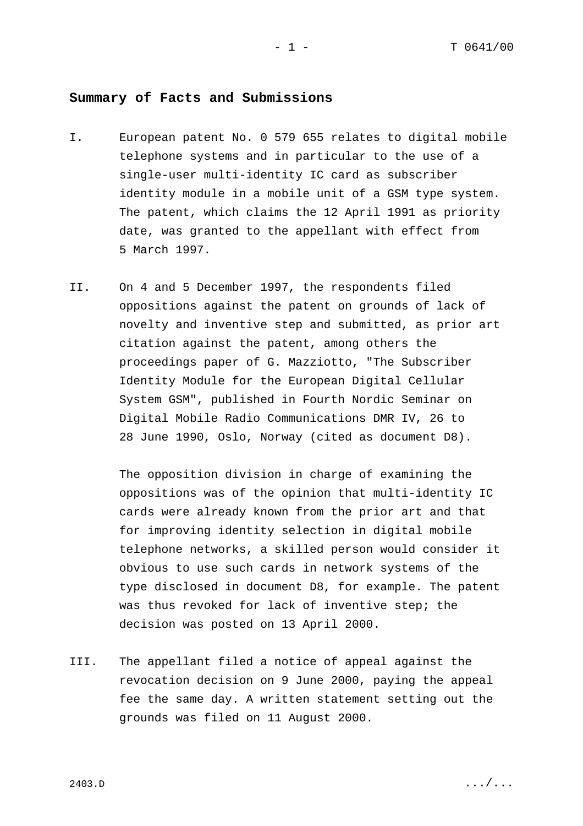# **Summary of Facts and Submissions**

- I. European patent No. 0 579 655 relates to digital mobile telephone systems and in particular to the use of a single-user multi-identity IC card as subscriber identity module in a mobile unit of a GSM type system. The patent, which claims the 12 April 1991 as priority date, was granted to the appellant with effect from 5 March 1997.
- II. On 4 and 5 December 1997, the respondents filed oppositions against the patent on grounds of lack of novelty and inventive step and submitted, as prior art citation against the patent, among others the proceedings paper of G. Mazziotto, "The Subscriber Identity Module for the European Digital Cellular System GSM", published in Fourth Nordic Seminar on Digital Mobile Radio Communications DMR IV, 26 to 28 June 1990, Oslo, Norway (cited as document D8).

The opposition division in charge of examining the oppositions was of the opinion that multi-identity IC cards were already known from the prior art and that for improving identity selection in digital mobile telephone networks, a skilled person would consider it obvious to use such cards in network systems of the type disclosed in document D8, for example. The patent was thus revoked for lack of inventive step; the decision was posted on 13 April 2000.

III. The appellant filed a notice of appeal against the revocation decision on 9 June 2000, paying the appeal fee the same day. A written statement setting out the grounds was filed on 11 August 2000.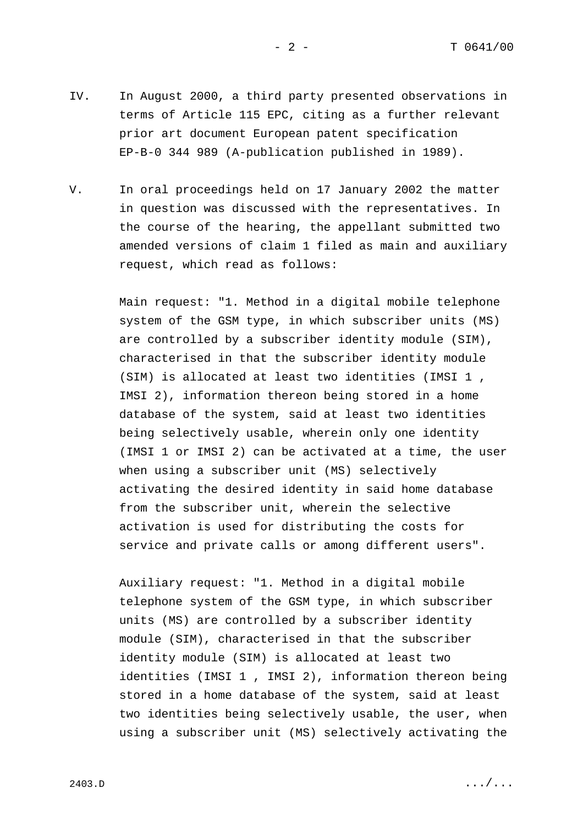IV. In August 2000, a third party presented observations in terms of Article 115 EPC, citing as a further relevant prior art document European patent specification EP-B-0 344 989 (A-publication published in 1989).

V. In oral proceedings held on 17 January 2002 the matter in question was discussed with the representatives. In the course of the hearing, the appellant submitted two amended versions of claim 1 filed as main and auxiliary request, which read as follows:

> Main request: "1. Method in a digital mobile telephone system of the GSM type, in which subscriber units (MS) are controlled by a subscriber identity module (SIM), characterised in that the subscriber identity module (SIM) is allocated at least two identities (IMSI 1 , IMSI 2), information thereon being stored in a home database of the system, said at least two identities being selectively usable, wherein only one identity (IMSI 1 or IMSI 2) can be activated at a time, the user when using a subscriber unit (MS) selectively activating the desired identity in said home database from the subscriber unit, wherein the selective activation is used for distributing the costs for service and private calls or among different users".

> Auxiliary request: "1. Method in a digital mobile telephone system of the GSM type, in which subscriber units (MS) are controlled by a subscriber identity module (SIM), characterised in that the subscriber identity module (SIM) is allocated at least two identities (IMSI 1 , IMSI 2), information thereon being stored in a home database of the system, said at least two identities being selectively usable, the user, when using a subscriber unit (MS) selectively activating the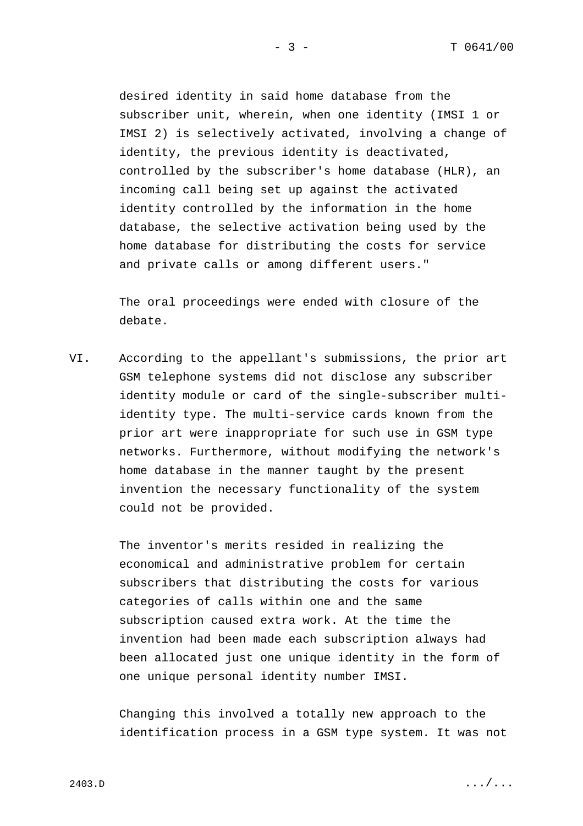desired identity in said home database from the subscriber unit, wherein, when one identity (IMSI 1 or IMSI 2) is selectively activated, involving a change of identity, the previous identity is deactivated, controlled by the subscriber's home database (HLR), an incoming call being set up against the activated identity controlled by the information in the home database, the selective activation being used by the home database for distributing the costs for service and private calls or among different users."

The oral proceedings were ended with closure of the debate.

VI. According to the appellant's submissions, the prior art GSM telephone systems did not disclose any subscriber identity module or card of the single-subscriber multiidentity type. The multi-service cards known from the prior art were inappropriate for such use in GSM type networks. Furthermore, without modifying the network's home database in the manner taught by the present invention the necessary functionality of the system could not be provided.

> The inventor's merits resided in realizing the economical and administrative problem for certain subscribers that distributing the costs for various categories of calls within one and the same subscription caused extra work. At the time the invention had been made each subscription always had been allocated just one unique identity in the form of one unique personal identity number IMSI.

Changing this involved a totally new approach to the identification process in a GSM type system. It was not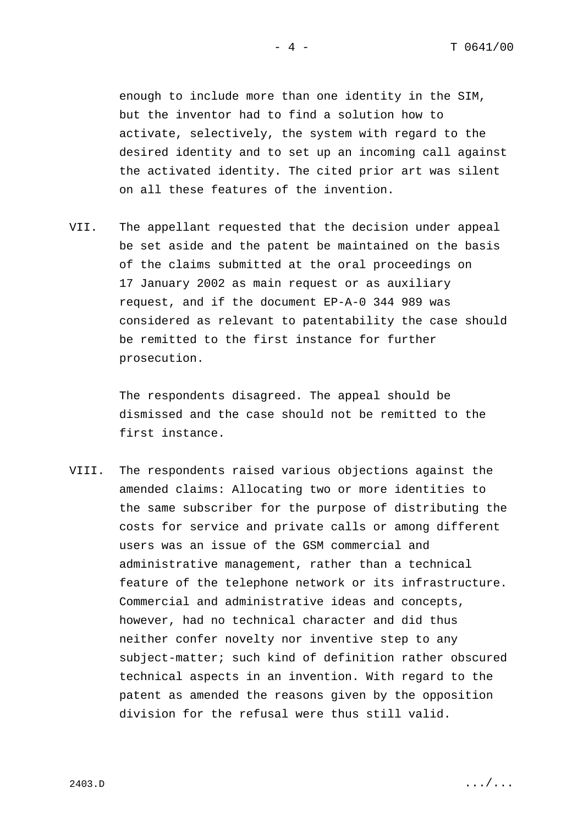enough to include more than one identity in the SIM, but the inventor had to find a solution how to activate, selectively, the system with regard to the desired identity and to set up an incoming call against the activated identity. The cited prior art was silent on all these features of the invention.

VII. The appellant requested that the decision under appeal be set aside and the patent be maintained on the basis of the claims submitted at the oral proceedings on 17 January 2002 as main request or as auxiliary request, and if the document EP-A-0 344 989 was considered as relevant to patentability the case should be remitted to the first instance for further prosecution.

> The respondents disagreed. The appeal should be dismissed and the case should not be remitted to the first instance.

VIII. The respondents raised various objections against the amended claims: Allocating two or more identities to the same subscriber for the purpose of distributing the costs for service and private calls or among different users was an issue of the GSM commercial and administrative management, rather than a technical feature of the telephone network or its infrastructure. Commercial and administrative ideas and concepts, however, had no technical character and did thus neither confer novelty nor inventive step to any subject-matter; such kind of definition rather obscured technical aspects in an invention. With regard to the patent as amended the reasons given by the opposition division for the refusal were thus still valid.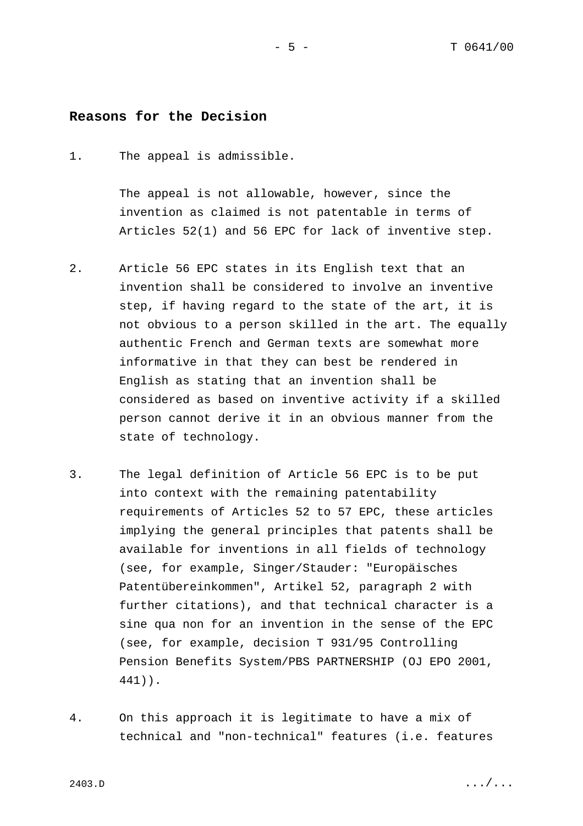## **Reasons for the Decision**

1. The appeal is admissible.

The appeal is not allowable, however, since the invention as claimed is not patentable in terms of Articles 52(1) and 56 EPC for lack of inventive step.

- 2. Article 56 EPC states in its English text that an invention shall be considered to involve an inventive step, if having regard to the state of the art, it is not obvious to a person skilled in the art. The equally authentic French and German texts are somewhat more informative in that they can best be rendered in English as stating that an invention shall be considered as based on inventive activity if a skilled person cannot derive it in an obvious manner from the state of technology.
- 3. The legal definition of Article 56 EPC is to be put into context with the remaining patentability requirements of Articles 52 to 57 EPC, these articles implying the general principles that patents shall be available for inventions in all fields of technology (see, for example, Singer/Stauder: "Europäisches Patentübereinkommen", Artikel 52, paragraph 2 with further citations), and that technical character is a sine qua non for an invention in the sense of the EPC (see, for example, decision T 931/95 Controlling Pension Benefits System/PBS PARTNERSHIP (OJ EPO 2001, 441)).
- 4. On this approach it is legitimate to have a mix of technical and "non-technical" features (i.e. features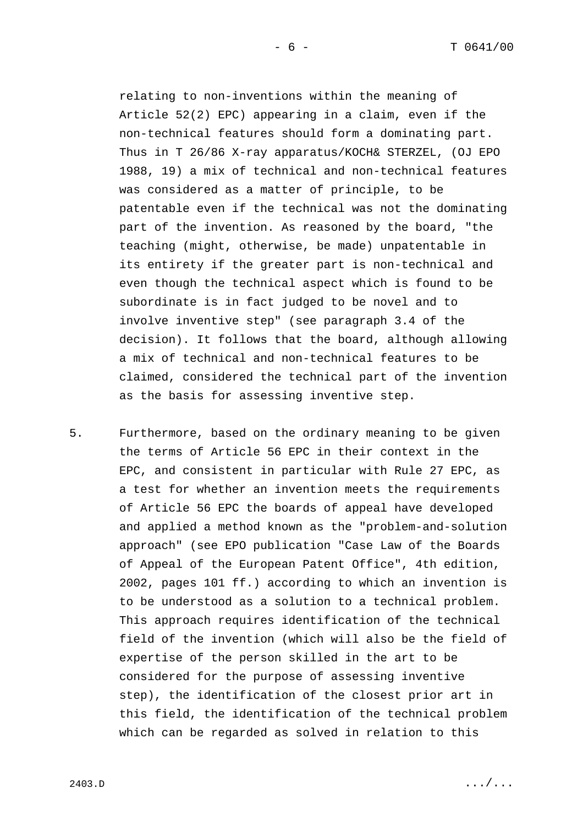relating to non-inventions within the meaning of Article 52(2) EPC) appearing in a claim, even if the non-technical features should form a dominating part. Thus in T 26/86 X-ray apparatus/KOCH& STERZEL, (OJ EPO 1988, 19) a mix of technical and non-technical features was considered as a matter of principle, to be patentable even if the technical was not the dominating part of the invention. As reasoned by the board, "the teaching (might, otherwise, be made) unpatentable in its entirety if the greater part is non-technical and even though the technical aspect which is found to be subordinate is in fact judged to be novel and to involve inventive step" (see paragraph 3.4 of the decision). It follows that the board, although allowing a mix of technical and non-technical features to be claimed, considered the technical part of the invention as the basis for assessing inventive step.

5. Furthermore, based on the ordinary meaning to be given the terms of Article 56 EPC in their context in the EPC, and consistent in particular with Rule 27 EPC, as a test for whether an invention meets the requirements of Article 56 EPC the boards of appeal have developed and applied a method known as the "problem-and-solution approach" (see EPO publication "Case Law of the Boards of Appeal of the European Patent Office", 4th edition, 2002, pages 101 ff.) according to which an invention is to be understood as a solution to a technical problem. This approach requires identification of the technical field of the invention (which will also be the field of expertise of the person skilled in the art to be considered for the purpose of assessing inventive step), the identification of the closest prior art in this field, the identification of the technical problem which can be regarded as solved in relation to this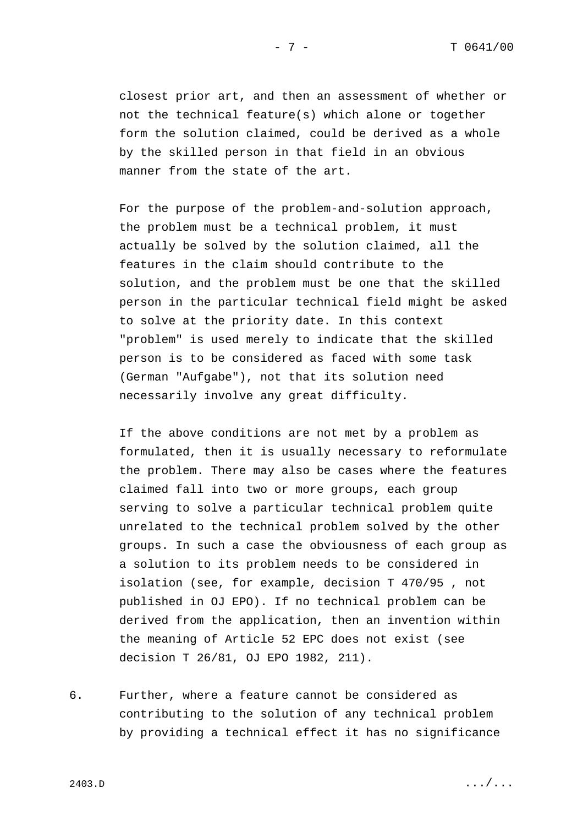closest prior art, and then an assessment of whether or not the technical feature(s) which alone or together form the solution claimed, could be derived as a whole by the skilled person in that field in an obvious manner from the state of the art.

For the purpose of the problem-and-solution approach, the problem must be a technical problem, it must actually be solved by the solution claimed, all the features in the claim should contribute to the solution, and the problem must be one that the skilled person in the particular technical field might be asked to solve at the priority date. In this context "problem" is used merely to indicate that the skilled person is to be considered as faced with some task (German "Aufgabe"), not that its solution need necessarily involve any great difficulty.

If the above conditions are not met by a problem as formulated, then it is usually necessary to reformulate the problem. There may also be cases where the features claimed fall into two or more groups, each group serving to solve a particular technical problem quite unrelated to the technical problem solved by the other groups. In such a case the obviousness of each group as a solution to its problem needs to be considered in isolation (see, for example, decision T 470/95 , not published in OJ EPO). If no technical problem can be derived from the application, then an invention within the meaning of Article 52 EPC does not exist (see decision T 26/81, OJ EPO 1982, 211).

6. Further, where a feature cannot be considered as contributing to the solution of any technical problem by providing a technical effect it has no significance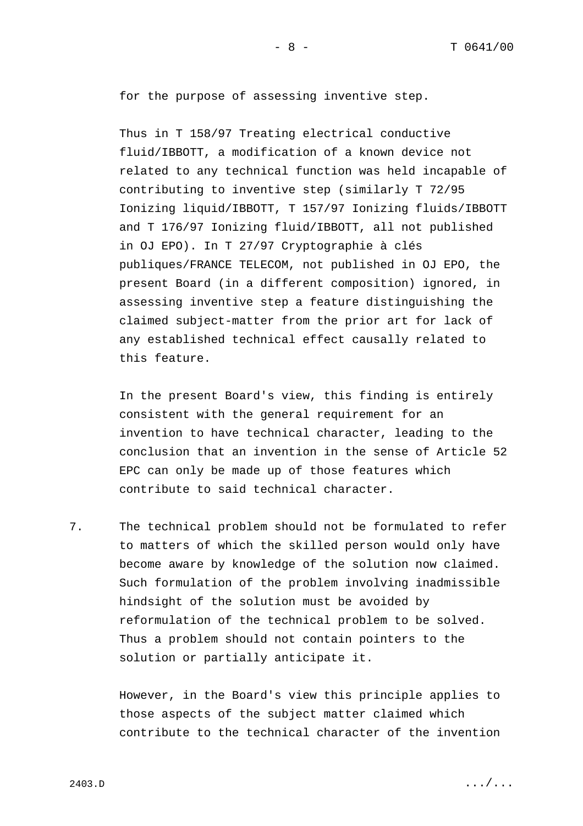for the purpose of assessing inventive step.

Thus in T 158/97 Treating electrical conductive fluid/IBBOTT, a modification of a known device not related to any technical function was held incapable of contributing to inventive step (similarly T 72/95 Ionizing liquid/IBBOTT, T 157/97 Ionizing fluids/IBBOTT and T 176/97 Ionizing fluid/IBBOTT, all not published in OJ EPO). In T 27/97 Cryptographie à clés publiques/FRANCE TELECOM, not published in OJ EPO, the present Board (in a different composition) ignored, in assessing inventive step a feature distinguishing the claimed subject-matter from the prior art for lack of any established technical effect causally related to this feature.

In the present Board's view, this finding is entirely consistent with the general requirement for an invention to have technical character, leading to the conclusion that an invention in the sense of Article 52 EPC can only be made up of those features which contribute to said technical character.

7. The technical problem should not be formulated to refer to matters of which the skilled person would only have become aware by knowledge of the solution now claimed. Such formulation of the problem involving inadmissible hindsight of the solution must be avoided by reformulation of the technical problem to be solved. Thus a problem should not contain pointers to the solution or partially anticipate it.

> However, in the Board's view this principle applies to those aspects of the subject matter claimed which contribute to the technical character of the invention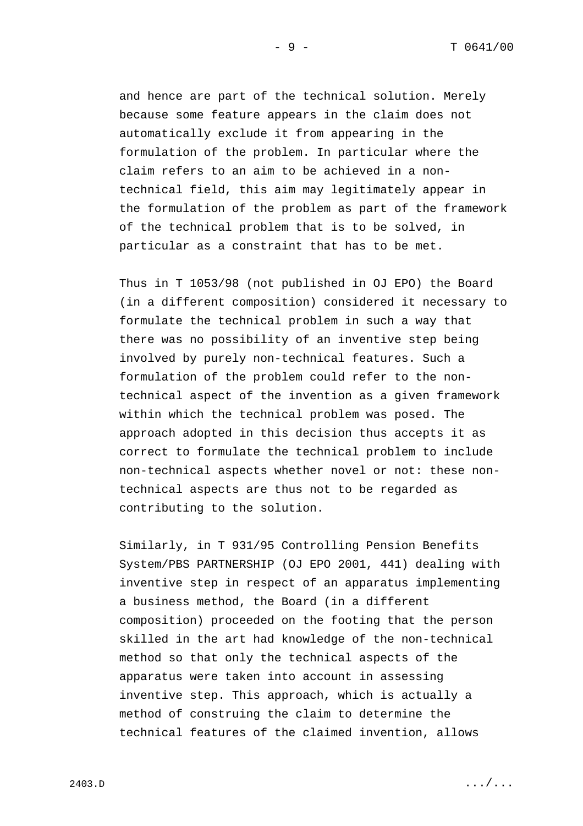and hence are part of the technical solution. Merely because some feature appears in the claim does not automatically exclude it from appearing in the formulation of the problem. In particular where the claim refers to an aim to be achieved in a nontechnical field, this aim may legitimately appear in the formulation of the problem as part of the framework of the technical problem that is to be solved, in particular as a constraint that has to be met.

Thus in T 1053/98 (not published in OJ EPO) the Board (in a different composition) considered it necessary to formulate the technical problem in such a way that there was no possibility of an inventive step being involved by purely non-technical features. Such a formulation of the problem could refer to the nontechnical aspect of the invention as a given framework within which the technical problem was posed. The approach adopted in this decision thus accepts it as correct to formulate the technical problem to include non-technical aspects whether novel or not: these nontechnical aspects are thus not to be regarded as contributing to the solution.

Similarly, in T 931/95 Controlling Pension Benefits System/PBS PARTNERSHIP (OJ EPO 2001, 441) dealing with inventive step in respect of an apparatus implementing a business method, the Board (in a different composition) proceeded on the footing that the person skilled in the art had knowledge of the non-technical method so that only the technical aspects of the apparatus were taken into account in assessing inventive step. This approach, which is actually a method of construing the claim to determine the technical features of the claimed invention, allows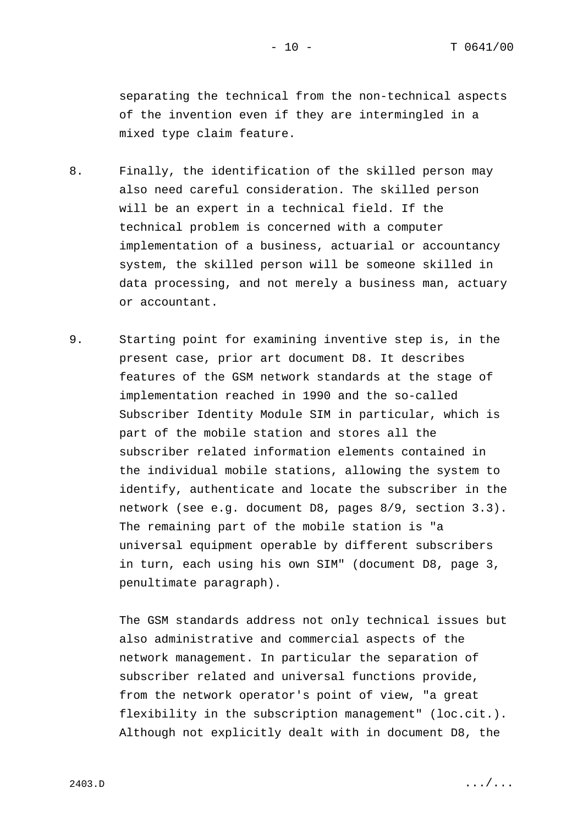separating the technical from the non-technical aspects of the invention even if they are intermingled in a mixed type claim feature.

- 8. Finally, the identification of the skilled person may also need careful consideration. The skilled person will be an expert in a technical field. If the technical problem is concerned with a computer implementation of a business, actuarial or accountancy system, the skilled person will be someone skilled in data processing, and not merely a business man, actuary or accountant.
- 9. Starting point for examining inventive step is, in the present case, prior art document D8. It describes features of the GSM network standards at the stage of implementation reached in 1990 and the so-called Subscriber Identity Module SIM in particular, which is part of the mobile station and stores all the subscriber related information elements contained in the individual mobile stations, allowing the system to identify, authenticate and locate the subscriber in the network (see e.g. document D8, pages 8/9, section 3.3). The remaining part of the mobile station is "a universal equipment operable by different subscribers in turn, each using his own SIM" (document D8, page 3, penultimate paragraph).

The GSM standards address not only technical issues but also administrative and commercial aspects of the network management. In particular the separation of subscriber related and universal functions provide, from the network operator's point of view, "a great flexibility in the subscription management" (loc.cit.). Although not explicitly dealt with in document D8, the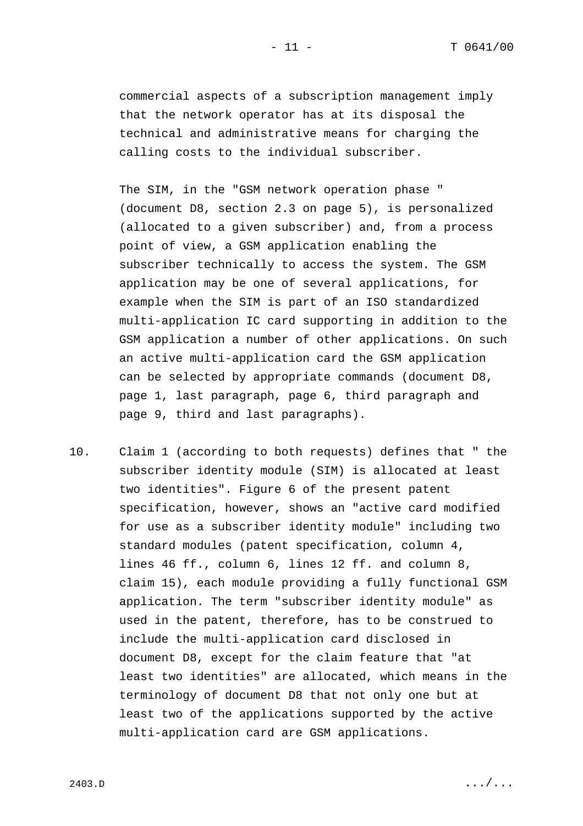commercial aspects of a subscription management imply that the network operator has at its disposal the technical and administrative means for charging the calling costs to the individual subscriber.

The SIM, in the "GSM network operation phase " (document D8, section 2.3 on page 5), is personalized (allocated to a given subscriber) and, from a process point of view, a GSM application enabling the subscriber technically to access the system. The GSM application may be one of several applications, for example when the SIM is part of an ISO standardized multi-application IC card supporting in addition to the GSM application a number of other applications. On such an active multi-application card the GSM application can be selected by appropriate commands (document D8, page 1, last paragraph, page 6, third paragraph and page 9, third and last paragraphs).

10. Claim 1 (according to both requests) defines that " the subscriber identity module (SIM) is allocated at least two identities". Figure 6 of the present patent specification, however, shows an "active card modified for use as a subscriber identity module" including two standard modules (patent specification, column 4, lines 46 ff., column 6, lines 12 ff. and column 8, claim 15), each module providing a fully functional GSM application. The term "subscriber identity module" as used in the patent, therefore, has to be construed to include the multi-application card disclosed in document D8, except for the claim feature that "at least two identities" are allocated, which means in the terminology of document D8 that not only one but at least two of the applications supported by the active multi-application card are GSM applications.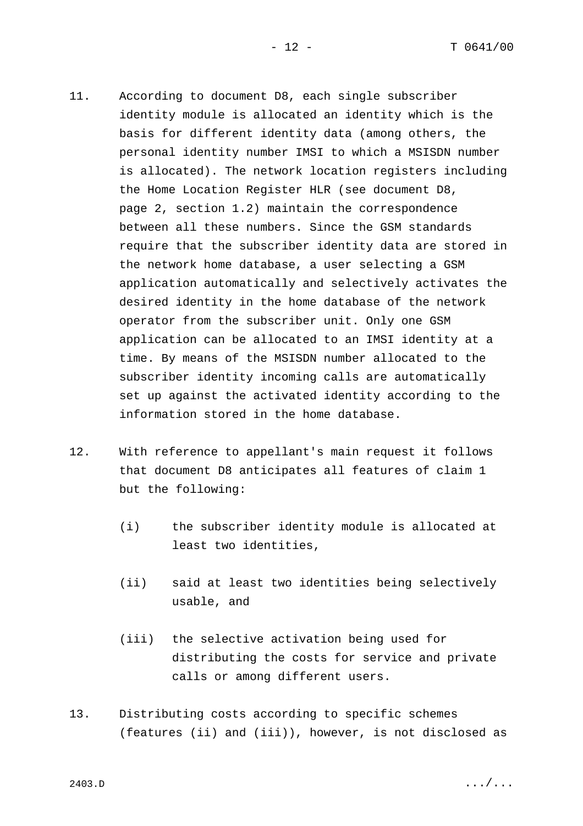- 11. According to document D8, each single subscriber identity module is allocated an identity which is the basis for different identity data (among others, the personal identity number IMSI to which a MSISDN number is allocated). The network location registers including the Home Location Register HLR (see document D8, page 2, section 1.2) maintain the correspondence between all these numbers. Since the GSM standards require that the subscriber identity data are stored in the network home database, a user selecting a GSM application automatically and selectively activates the desired identity in the home database of the network operator from the subscriber unit. Only one GSM application can be allocated to an IMSI identity at a time. By means of the MSISDN number allocated to the subscriber identity incoming calls are automatically set up against the activated identity according to the information stored in the home database.
- 12. With reference to appellant's main request it follows that document D8 anticipates all features of claim 1 but the following:
	- (i) the subscriber identity module is allocated at least two identities,
	- (ii) said at least two identities being selectively usable, and
	- (iii) the selective activation being used for distributing the costs for service and private calls or among different users.
- 13. Distributing costs according to specific schemes (features (ii) and (iii)), however, is not disclosed as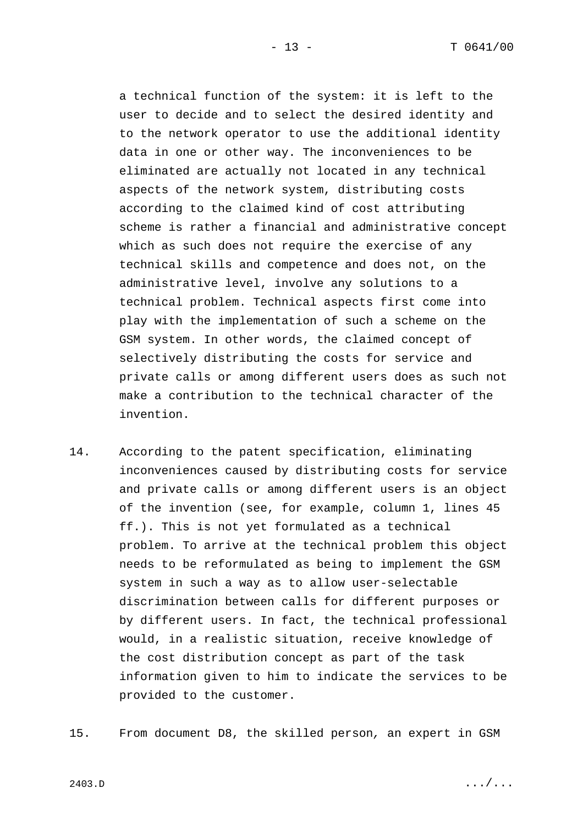a technical function of the system: it is left to the user to decide and to select the desired identity and to the network operator to use the additional identity data in one or other way. The inconveniences to be eliminated are actually not located in any technical aspects of the network system, distributing costs according to the claimed kind of cost attributing scheme is rather a financial and administrative concept which as such does not require the exercise of any technical skills and competence and does not, on the administrative level, involve any solutions to a technical problem. Technical aspects first come into play with the implementation of such a scheme on the GSM system. In other words, the claimed concept of selectively distributing the costs for service and private calls or among different users does as such not make a contribution to the technical character of the invention.

- 14. According to the patent specification, eliminating inconveniences caused by distributing costs for service and private calls or among different users is an object of the invention (see, for example, column 1, lines 45 ff.). This is not yet formulated as a technical problem. To arrive at the technical problem this object needs to be reformulated as being to implement the GSM system in such a way as to allow user-selectable discrimination between calls for different purposes or by different users. In fact, the technical professional would, in a realistic situation, receive knowledge of the cost distribution concept as part of the task information given to him to indicate the services to be provided to the customer.
- 15. From document D8, the skilled person*,* an expert in GSM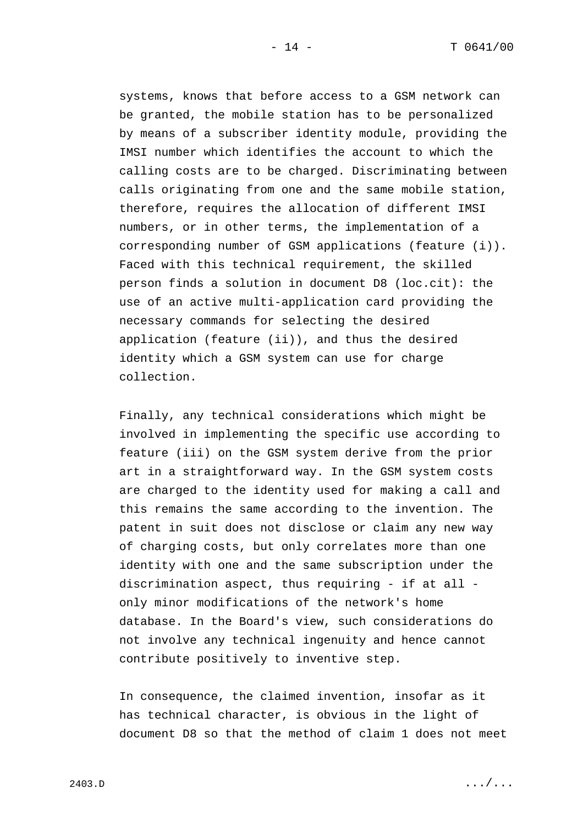systems, knows that before access to a GSM network can be granted, the mobile station has to be personalized by means of a subscriber identity module, providing the IMSI number which identifies the account to which the calling costs are to be charged. Discriminating between calls originating from one and the same mobile station, therefore, requires the allocation of different IMSI numbers, or in other terms, the implementation of a corresponding number of GSM applications (feature (i)). Faced with this technical requirement, the skilled person finds a solution in document D8 (loc.cit): the use of an active multi-application card providing the necessary commands for selecting the desired application (feature (ii)), and thus the desired identity which a GSM system can use for charge collection.

Finally, any technical considerations which might be involved in implementing the specific use according to feature (iii) on the GSM system derive from the prior art in a straightforward way. In the GSM system costs are charged to the identity used for making a call and this remains the same according to the invention. The patent in suit does not disclose or claim any new way of charging costs, but only correlates more than one identity with one and the same subscription under the discrimination aspect, thus requiring - if at all only minor modifications of the network's home database. In the Board's view, such considerations do not involve any technical ingenuity and hence cannot contribute positively to inventive step.

In consequence, the claimed invention, insofar as it has technical character, is obvious in the light of document D8 so that the method of claim 1 does not meet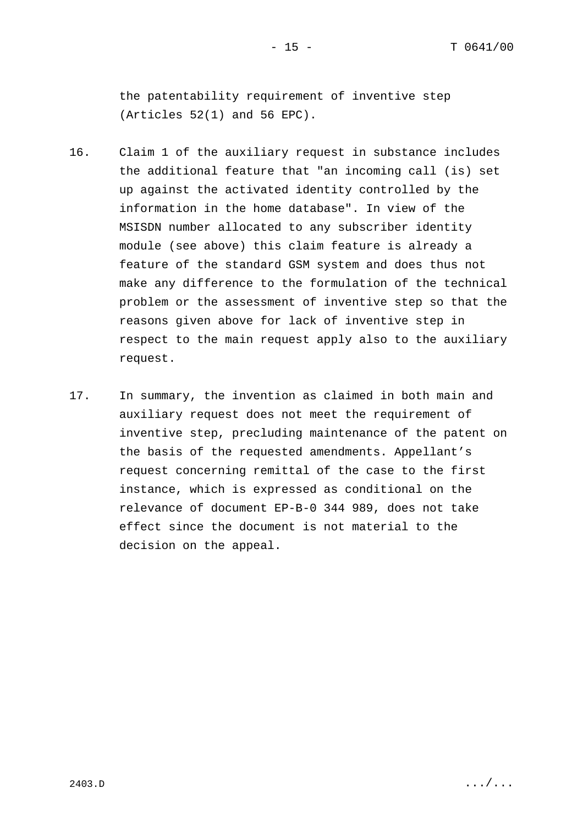the patentability requirement of inventive step (Articles 52(1) and 56 EPC).

- 16. Claim 1 of the auxiliary request in substance includes the additional feature that "an incoming call (is) set up against the activated identity controlled by the information in the home database". In view of the MSISDN number allocated to any subscriber identity module (see above) this claim feature is already a feature of the standard GSM system and does thus not make any difference to the formulation of the technical problem or the assessment of inventive step so that the reasons given above for lack of inventive step in respect to the main request apply also to the auxiliary request.
- 17. In summary, the invention as claimed in both main and auxiliary request does not meet the requirement of inventive step, precluding maintenance of the patent on the basis of the requested amendments. Appellant's request concerning remittal of the case to the first instance, which is expressed as conditional on the relevance of document EP-B-0 344 989, does not take effect since the document is not material to the decision on the appeal.